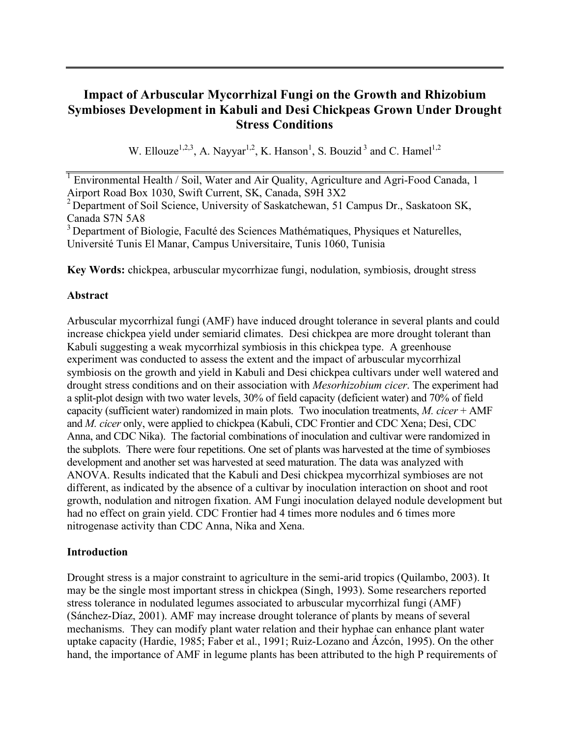# **Impact of Arbuscular Mycorrhizal Fungi on the Growth and Rhizobium Symbioses Development in Kabuli and Desi Chickpeas Grown Under Drought Stress Conditions**

W. Ellouze<sup>1,2,3</sup>, A. Nayyar<sup>1,2</sup>, K. Hanson<sup>1</sup>, S. Bouzid<sup>3</sup> and C. Hamel<sup>1,2</sup>

**Key Words:** chickpea, arbuscular mycorrhizae fungi, nodulation, symbiosis, drought stress

## **Abstract**

Arbuscular mycorrhizal fungi (AMF) have induced drought tolerance in several plants and could increase chickpea yield under semiarid climates. Desi chickpea are more drought tolerant than Kabuli suggesting a weak mycorrhizal symbiosis in this chickpea type. A greenhouse experiment was conducted to assess the extent and the impact of arbuscular mycorrhizal symbiosis on the growth and yield in Kabuli and Desi chickpea cultivars under well watered and drought stress conditions and on their association with *Mesorhizobium cicer*. The experiment had a split-plot design with two water levels, 30% of field capacity (deficient water) and 70% of field capacity (sufficient water) randomized in main plots. Two inoculation treatments, *M. cicer* + AMF and *M. cicer* only, were applied to chickpea (Kabuli, CDC Frontier and CDC Xena; Desi, CDC Anna, and CDC Nika). The factorial combinations of inoculation and cultivar were randomized in the subplots. There were four repetitions. One set of plants was harvested at the time of symbioses development and another set was harvested at seed maturation. The data was analyzed with ANOVA. Results indicated that the Kabuli and Desi chickpea mycorrhizal symbioses are not different, as indicated by the absence of a cultivar by inoculation interaction on shoot and root growth, nodulation and nitrogen fixation. AM Fungi inoculation delayed nodule development but had no effect on grain yield. CDC Frontier had 4 times more nodules and 6 times more nitrogenase activity than CDC Anna, Nika and Xena.

## **Introduction**

Drought stress is a major constraint to agriculture in the semi-arid tropics (Quilambo, 2003). It may be the single most important stress in chickpea (Singh, 1993). Some researchers reported stress tolerance in nodulated legumes associated to arbuscular mycorrhizal fungi (AMF) (Sánchez-Díaz, 2001). AMF may increase drought tolerance of plants by means of several mechanisms. They can modify plant water relation and their hyphae can enhance plant water uptake capacity (Hardie, 1985; Faber et al., 1991; Ruiz-Lozano and Ázcón, 1995). On the other hand, the importance of AMF in legume plants has been attributed to the high P requirements of

<sup>&</sup>lt;sup>1</sup> Environmental Health / Soil, Water and Air Quality, Agriculture and Agri-Food Canada, 1 Airport Road Box 1030, Swift Current, SK, Canada, S9H 3X2

<sup>&</sup>lt;sup>2</sup> Department of Soil Science, University of Saskatchewan, 51 Campus Dr., Saskatoon SK, Canada S7N 5A8

<sup>&</sup>lt;sup>3</sup> Department of Biologie, Faculté des Sciences Mathématiques, Physiques et Naturelles, Université Tunis El Manar, Campus Universitaire, Tunis 1060, Tunisia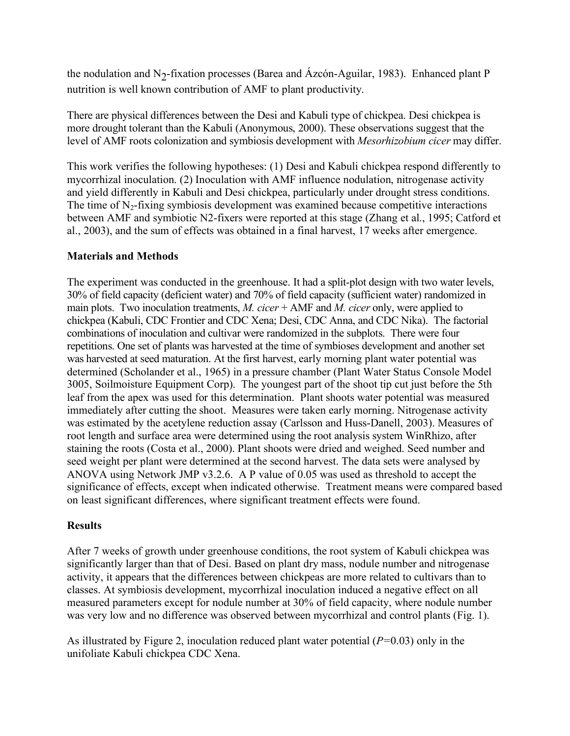the nodulation and N<sub>2</sub>-fixation processes (Barea and Ázcón-Aguilar, 1983). Enhanced plant P nutrition is well known contribution of AMF to plant productivity.

There are physical differences between the Desi and Kabuli type of chickpea. Desi chickpea is more drought tolerant than the Kabuli (Anonymous, 2000). These observations suggest that the level of AMF roots colonization and symbiosis development with *Mesorhizobium cicer* may differ.

This work verifies the following hypotheses: (1) Desi and Kabuli chickpea respond differently to mycorrhizal inoculation. (2) Inoculation with AMF influence nodulation, nitrogenase activity and yield differently in Kabuli and Desi chickpea, particularly under drought stress conditions. The time of  $N<sub>2</sub>$ -fixing symbiosis development was examined because competitive interactions between AMF and symbiotic N2-fixers were reported at this stage (Zhang et al., 1995; Catford et al., 2003), and the sum of effects was obtained in a final harvest, 17 weeks after emergence.

## **Materials and Methods**

The experiment was conducted in the greenhouse. It had a split-plot design with two water levels, 30% of field capacity (deficient water) and 70% of field capacity (sufficient water) randomized in main plots. Two inoculation treatments, *M. cicer* + AMF and *M. cicer* only, were applied to chickpea (Kabuli, CDC Frontier and CDC Xena; Desi, CDC Anna, and CDC Nika). The factorial combinations of inoculation and cultivar were randomized in the subplots. There were four repetitions. One set of plants was harvested at the time of symbioses development and another set was harvested at seed maturation. At the first harvest, early morning plant water potential was determined (Scholander et al., 1965) in a pressure chamber (Plant Water Status Console Model 3005, Soilmoisture Equipment Corp). The youngest part of the shoot tip cut just before the 5th leaf from the apex was used for this determination. Plant shoots water potential was measured immediately after cutting the shoot. Measures were taken early morning. Nitrogenase activity was estimated by the acetylene reduction assay (Carlsson and Huss-Danell, 2003). Measures of root length and surface area were determined using the root analysis system WinRhizo, after staining the roots (Costa et al., 2000). Plant shoots were dried and weighed. Seed number and seed weight per plant were determined at the second harvest. The data sets were analysed by ANOVA using Network JMP v3.2.6. A P value of 0.05 was used as threshold to accept the significance of effects, except when indicated otherwise. Treatment means were compared based on least significant differences, where significant treatment effects were found.

## **Results**

After 7 weeks of growth under greenhouse conditions, the root system of Kabuli chickpea was significantly larger than that of Desi. Based on plant dry mass, nodule number and nitrogenase activity, it appears that the differences between chickpeas are more related to cultivars than to classes. At symbiosis development, mycorrhizal inoculation induced a negative effect on all measured parameters except for nodule number at 30% of field capacity, where nodule number was very low and no difference was observed between mycorrhizal and control plants (Fig. 1).

As illustrated by Figure 2, inoculation reduced plant water potential (*P=*0.03) only in the unifoliate Kabuli chickpea CDC Xena.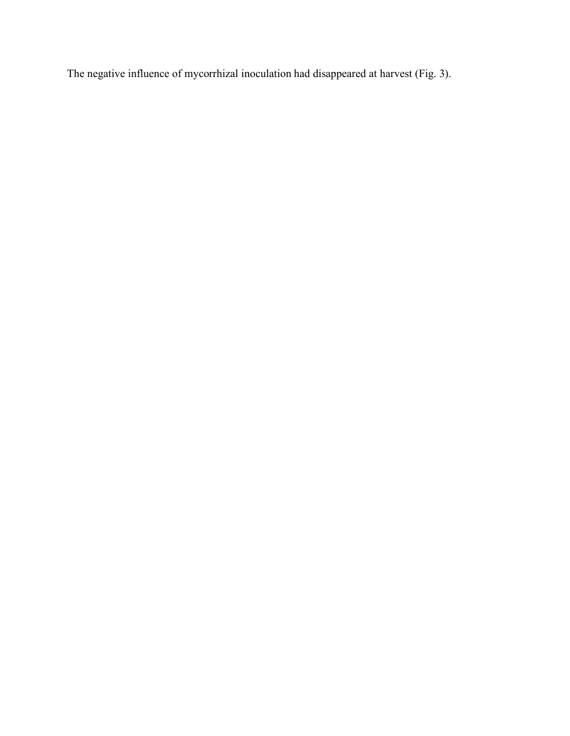The negative influence of mycorrhizal inoculation had disappeared at harvest (Fig. 3).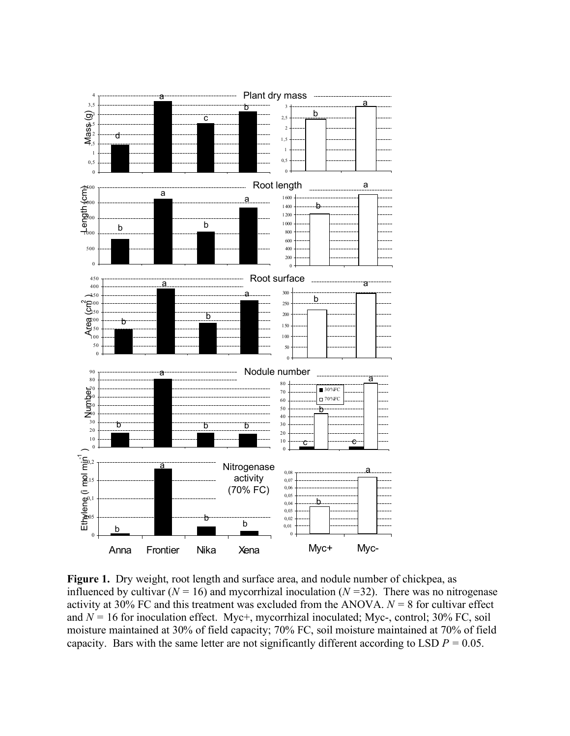

**Figure 1.** Dry weight, root length and surface area, and nodule number of chickpea, as influenced by cultivar ( $N = 16$ ) and mycorrhizal inoculation ( $N = 32$ ). There was no nitrogenase activity at 30% FC and this treatment was excluded from the ANOVA.  $N = 8$  for cultivar effect and  $N = 16$  for inoculation effect. Myc+, mycorrhizal inoculated; Myc-, control; 30% FC, soil moisture maintained at 30% of field capacity; 70% FC, soil moisture maintained at 70% of field capacity. Bars with the same letter are not significantly different according to LSD  $P = 0.05$ .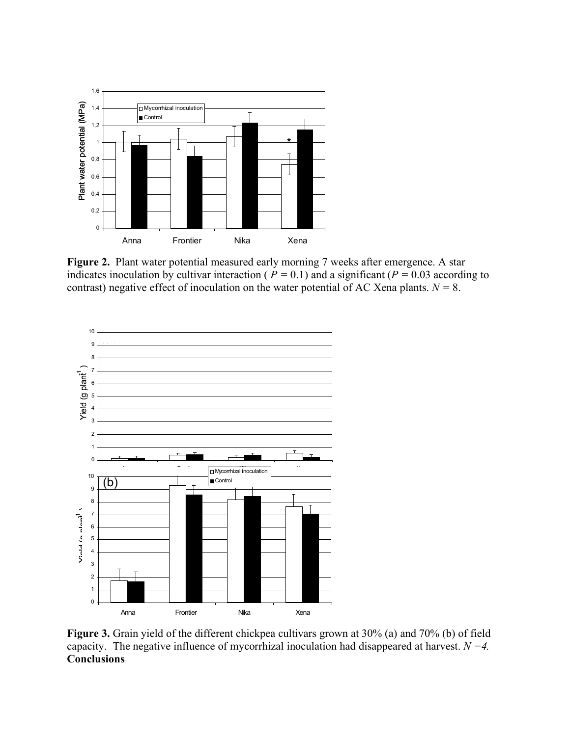

**Figure 2.** Plant water potential measured early morning 7 weeks after emergence. A star indicates inoculation by cultivar interaction ( $P = 0.1$ ) and a significant ( $P = 0.03$  according to contrast) negative effect of inoculation on the water potential of AC Xena plants.  $N = 8$ .



**Figure 3.** Grain yield of the different chickpea cultivars grown at 30% (a) and 70% (b) of field capacity. The negative influence of mycorrhizal inoculation had disappeared at harvest. *N =4.* **Conclusions**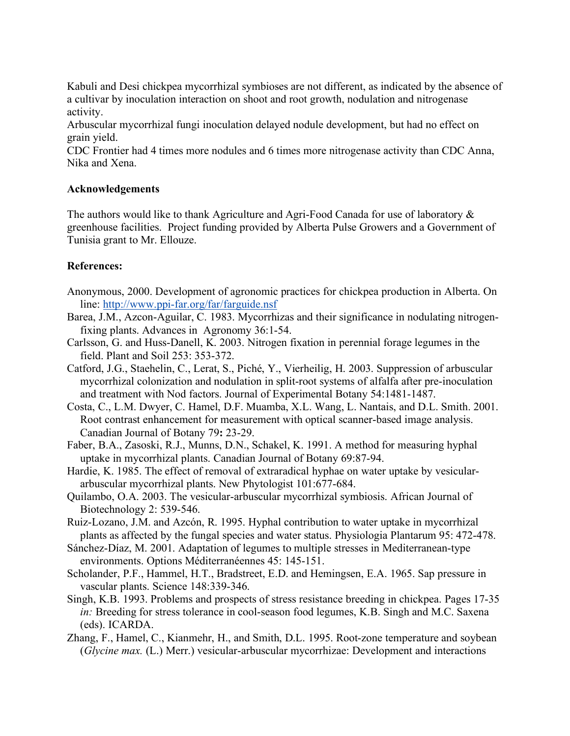Kabuli and Desi chickpea mycorrhizal symbioses are not different, as indicated by the absence of a cultivar by inoculation interaction on shoot and root growth, nodulation and nitrogenase activity.

Arbuscular mycorrhizal fungi inoculation delayed nodule development, but had no effect on grain yield.

CDC Frontier had 4 times more nodules and 6 times more nitrogenase activity than CDC Anna, Nika and Xena.

### **Acknowledgements**

The authors would like to thank Agriculture and Agri-Food Canada for use of laboratory  $\&$ greenhouse facilities. Project funding provided by Alberta Pulse Growers and a Government of Tunisia grant to Mr. Ellouze.

## **References:**

- Anonymous, 2000. Development of agronomic practices for chickpea production in Alberta. On line: http://www.ppi-far.org/far/farguide.nsf
- Barea, J.M., Azcon-Aguilar, C. 1983. Mycorrhizas and their significance in nodulating nitrogenfixing plants. Advances in Agronomy 36:1-54.
- Carlsson, G. and Huss-Danell, K. 2003. Nitrogen fixation in perennial forage legumes in the field. Plant and Soil 253: 353-372.
- Catford, J.G., Staehelin, C., Lerat, S., Piché, Y., Vierheilig, H. 2003. Suppression of arbuscular mycorrhizal colonization and nodulation in split-root systems of alfalfa after pre-inoculation and treatment with Nod factors. Journal of Experimental Botany 54:1481-1487.
- Costa, C., L.M. Dwyer, C. Hamel, D.F. Muamba, X.L. Wang, L. Nantais, and D.L. Smith. 2001. Root contrast enhancement for measurement with optical scanner-based image analysis. Canadian Journal of Botany 79**:** 23-29.
- Faber, B.A., Zasoski, R.J., Munns, D.N., Schakel, K. 1991. A method for measuring hyphal uptake in mycorrhizal plants. Canadian Journal of Botany 69:87-94.
- Hardie, K. 1985. The effect of removal of extraradical hyphae on water uptake by vesiculararbuscular mycorrhizal plants. New Phytologist 101:677-684.
- Quilambo, O.A. 2003. The vesicular-arbuscular mycorrhizal symbiosis. African Journal of Biotechnology 2: 539-546.
- Ruiz-Lozano, J.M. and Azcón, R. 1995. Hyphal contribution to water uptake in mycorrhizal plants as affected by the fungal species and water status. Physiologia Plantarum 95: 472-478.
- Sánchez-Díaz, M. 2001. Adaptation of legumes to multiple stresses in Mediterranean-type environments. Options Méditerranéennes 45: 145-151.
- Scholander, P.F., Hammel, H.T., Bradstreet, E.D. and Hemingsen, E.A. 1965. Sap pressure in vascular plants. Science 148:339-346.
- Singh, K.B. 1993. Problems and prospects of stress resistance breeding in chickpea. Pages 17-35 *in:* Breeding for stress tolerance in cool-season food legumes, K.B. Singh and M.C. Saxena (eds). ICARDA.
- Zhang, F., Hamel, C., Kianmehr, H., and Smith, D.L. 1995. Root-zone temperature and soybean (*Glycine max.* (L.) Merr.) vesicular-arbuscular mycorrhizae: Development and interactions